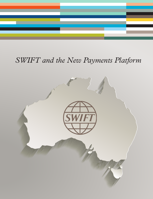

# *SWIFT and the New Payments Platform*

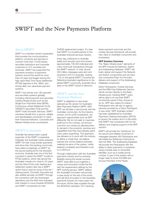# SWIFT and the New Payments Platform

#### About SWIFT

SWIFT is a member-owned cooperative that provides the communications platform, products and services to connect more than 10,500 banks, securities institutions and corporate customers in 215 countries and territories. SWIFT has supported the payments evolution of payments systems around the world for more than 40 years and began serving the high value Real Time Gross Settlement (RTGS) segment in the 1990s, and shortly after, low value/bulk payment systems.

SWIFT now serves over 180 payment and securities systems globally, including critical payment and securities market infrastructures such as the Single Euro Payments Area (SEPA), Continuous Linked Settlement (CLS), TARGET2-Securities (T2S) and the SWIFT India Domestic Services. SWIFT members benefit from a secure, reliable and standardised connection to reach their Financial Institution, Corporate and Market Infrastructure counterparts.

#### SWIFT in Australia

Australia has always been a great supporter of the SWIFT cooperative. Originally, the Australian banks adopted SWIFT for their cross border payments and since then the banking community have relied increasingly on SWIFT as the secure backbone for the domestic economy. Australia was one of the first countries to adopt the SWIFT model for RTGS systems, which has served the Australian industry for close to 20 years, and the Direct Entry bulk clearing and settlement system also has a SWIFT option that is used by some of the tier 1 clearing banks. Domestic Securities are also settled securely via SWIFT through the connection with the Austraclear depository and the ASX have indicated their interest to move towards ISO20022 and SWIFT connectivity for their

CHESS replacement project. It's clear that SWIFT is a trusted partner to the Australian financial services industry.

Every day, institutions in Australia safely and securely send and receive approximately 700,000 individual and many more bulk transactions through the SWIFT network. In total, almost 200 million messages were sent and received in 2013 in Australia, ranking 11th on the global SWIFT Countries list. Reflecting Australia's significance to the global SWIFT community, Australia has a seat on the SWIFT board of directors.

### SWIFT and the New Payments Platform

SWIFT is delighted to have been selected as the vendor for Australia's New Payments Platform (NPP). With NPP, we will take a new journey with the Australian community. As the industryowned, not for profit cooperative, we approach opportunities such as NPP differently. We do not seek to maximise profit but to the contrary, we remove cost from our owners by allowing them to reinvest in the products, services and capabilities that they have already spent many years supporting. This approach has allowed us to work with the industry to define a model that, we believe, reaches the correct balance between meeting the aims of the system, whilst keeping complexity and therefore cost, to a minimum.

Through collaboration with the Australian payments industry and by showing flexibility during the tender process, SWIFT were able to put together a unique and innovative model that fits with the requirements defined by the NPP working groups. SWIFT believe this Australian innovation will provide a case study for the rest of the world, and will drive innovation in the Australian payments industry for many years into the future. Richer data supplied through the ISO20022 standard, 24/7 banking,

faster payment outcomes and the overlay services framework will provide new value to Australian consumers and businesses.

#### NPP Solution Overview

The "Basic Infrastructure" elements of the NPP include the Network, Switch and Addressing Database. SWIFT will build, deliver and support the Network and Switch components and we have sub-contracted Fiserv for the build, delivery and support of the Addressing Database component.

Direct Participants, Overlay Services and the RBA Fast Settlement Service will all connect directly to the Basic Infrastructure. Existing SWIFT users will be able to re-use their SWIFT connectivity packs if they choose to do so. NPP also caters for Indirect Participants who will rely on agency services provided by a Direct Participant. A new entity "NPP Australia Limited" has been established by Australian Payments Clearing Association (APCA) to govern the system and it is this entity that SWIFT has contracted with for the delivery and ongoing support of the NPP solution.

SWIFT will provide the "backbone" for the secure and reliable movement of messages between ADI Participants and will initiate the Settlement instructions with the RBA. The Addressing Database will provide the Participants with the ability to direct payments to recipients using a simple easy to remember identifier, such as a mobile phone number. A user of the system will no longer need to know the BSB and Account Number of the Payee.

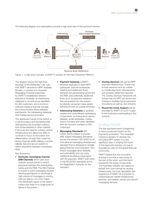

The following diagram and descriptions provide a high level view of the technical solution:

The diagram shows the high level topology of the distributed 'Lite' hub that SWIFT will build for NPP Australia. Broadly, it consists of a Domestic Messaging Channel supported by SWIFT's established network partners in Australia, an Addressing database to provide proxy identifiers for ADI customers, and a common software interface that will manage the communication flows between participants, the Addressing database and Overlay service providers.

The distributed nature of the Switch is a real innovation and something that distinguishes the Australian solution from those adopted in other markets. It removes the need for a heavy central infrastructure and allows the ADIs to continue to focus on innovation and differentiation through their customerfacing channels whilst utilising a simple, reliable, fast and secure system to switch payments between counterpart ADIs.

#### **Key Features:**

• Domestic messaging channel (DM Channel) which uses local network access points to switch payments between the participating banks and the RBA. The DM Channel is a point to point messaging solution allowing participants to exchange a high volume of messages in-country, with low latency on a 24x7 basis. The distributed nature of the Switch means that there is no single point of failure in the system.

- Payment Gateway, a SWIFT interface deployed to each NPP participant, that will orchestrate clearing and settlement flows between the participating banks and the RBA, and potentially additional flows such as payment initiations that are entered into the system by directly connected value added services (known as overlay services).
- Addressing Database to facilitate simpler and more efficient addressing of payments, by linking short names (aliases), email addresses, mobile phone numbers and other identifiers with the account numbers of ADI customers.
- **Messaging Standards ISO** 20022 will be utilised to provide XML-based messaging standards across the solution. ISO 20022 is an international messaging development standard that is designed to simplify global financial communication. ISO 20022 messages allow flexibility and extensibility and can carry additional remittance information with the payment. SWIFT built many of the ISO20022 standards and is the Registration Authority for the standard.
- Overlay Services will use the NPP payment infrastructure. These may include services such as mobileto-mobile payments, bill payments and property settlement services. The Overlay Services framework will ensure that the NPP can evolve and change to facilitate future payments innovations as well as new entrants.
- Round the Clock Support will be provided by SWIFT on a 24/7 basis to the institutions participating in the scheme.

## Looking forward

The fast payments trend is beginning to have a profound impact on the payments ecosystem. The Australian industry's decision to develop the innovative NPP system is a very significant step in shaping the future of the payments industry, not just in Australia but also for the global financial community.

SWIFT believe that this innovation is going to provide a case study for the rest of the world, and this trend represents the future of payments. The Australian industry can expect to benefit from cost savings by reusing infrastructure, the trust, reputation and experience of SWIFT as a provider of critical financial market infrastructure services, and reliable, proven and secure messaging services.